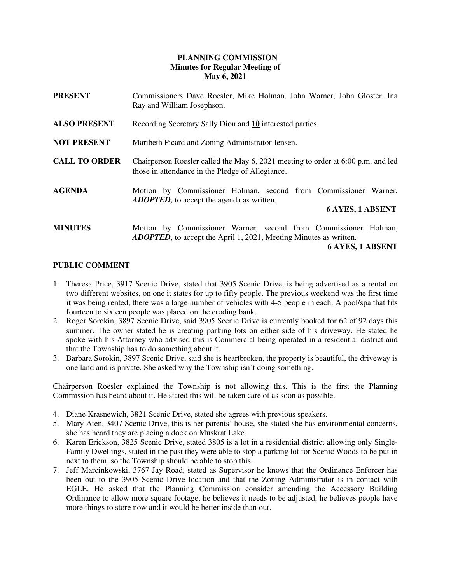## **PLANNING COMMISSION Minutes for Regular Meeting of May 6, 2021**

| <b>PRESENT</b>       | Commissioners Dave Roesler, Mike Holman, John Warner, John Gloster, Ina<br>Ray and William Josephson.                                                                 |
|----------------------|-----------------------------------------------------------------------------------------------------------------------------------------------------------------------|
| <b>ALSO PRESENT</b>  | Recording Secretary Sally Dion and 10 interested parties.                                                                                                             |
| <b>NOT PRESENT</b>   | Maribeth Picard and Zoning Administrator Jensen.                                                                                                                      |
| <b>CALL TO ORDER</b> | Chairperson Roesler called the May 6, 2021 meeting to order at 6:00 p.m. and led<br>those in attendance in the Pledge of Allegiance.                                  |
| <b>AGENDA</b>        | Motion by Commissioner Holman, second from Commissioner Warner,<br><b>ADOPTED</b> , to accept the agenda as written.<br><b>6 AYES, 1 ABSENT</b>                       |
| <b>MINUTES</b>       | Motion by Commissioner Warner, second from Commissioner Holman,<br><b>ADOPTED</b> , to accept the April 1, 2021, Meeting Minutes as written.<br>$\ell$ avec 1 adepair |

#### **6 AYES, 1 ABSENT**

### **PUBLIC COMMENT**

- 1. Theresa Price, 3917 Scenic Drive, stated that 3905 Scenic Drive, is being advertised as a rental on two different websites, on one it states for up to fifty people. The previous weekend was the first time it was being rented, there was a large number of vehicles with 4-5 people in each. A pool/spa that fits fourteen to sixteen people was placed on the eroding bank.
- 2. Roger Sorokin, 3897 Scenic Drive, said 3905 Scenic Drive is currently booked for 62 of 92 days this summer. The owner stated he is creating parking lots on either side of his driveway. He stated he spoke with his Attorney who advised this is Commercial being operated in a residential district and that the Township has to do something about it.
- 3. Barbara Sorokin, 3897 Scenic Drive, said she is heartbroken, the property is beautiful, the driveway is one land and is private. She asked why the Township isn't doing something.

Chairperson Roesler explained the Township is not allowing this. This is the first the Planning Commission has heard about it. He stated this will be taken care of as soon as possible.

- 4. Diane Krasnewich, 3821 Scenic Drive, stated she agrees with previous speakers.
- 5. Mary Aten, 3407 Scenic Drive, this is her parents' house, she stated she has environmental concerns, she has heard they are placing a dock on Muskrat Lake.
- 6. Karen Erickson, 3825 Scenic Drive, stated 3805 is a lot in a residential district allowing only Single-Family Dwellings, stated in the past they were able to stop a parking lot for Scenic Woods to be put in next to them, so the Township should be able to stop this.
- 7. Jeff Marcinkowski, 3767 Jay Road, stated as Supervisor he knows that the Ordinance Enforcer has been out to the 3905 Scenic Drive location and that the Zoning Administrator is in contact with EGLE. He asked that the Planning Commission consider amending the Accessory Building Ordinance to allow more square footage, he believes it needs to be adjusted, he believes people have more things to store now and it would be better inside than out.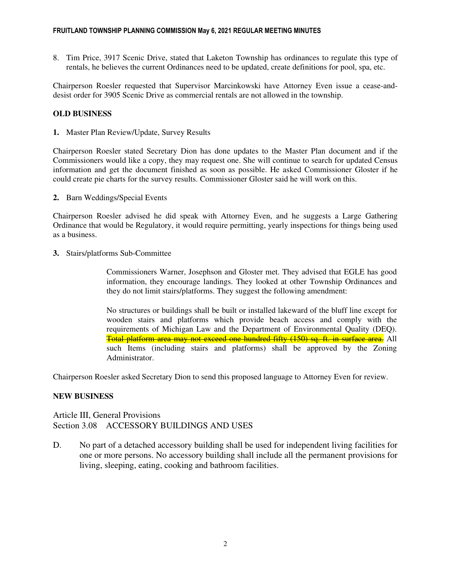8. Tim Price, 3917 Scenic Drive, stated that Laketon Township has ordinances to regulate this type of rentals, he believes the current Ordinances need to be updated, create definitions for pool, spa, etc.

Chairperson Roesler requested that Supervisor Marcinkowski have Attorney Even issue a cease-anddesist order for 3905 Scenic Drive as commercial rentals are not allowed in the township.

# **OLD BUSINESS**

**1.** Master Plan Review/Update, Survey Results

Chairperson Roesler stated Secretary Dion has done updates to the Master Plan document and if the Commissioners would like a copy, they may request one. She will continue to search for updated Census information and get the document finished as soon as possible. He asked Commissioner Gloster if he could create pie charts for the survey results. Commissioner Gloster said he will work on this.

**2.** Barn Weddings/Special Events

Chairperson Roesler advised he did speak with Attorney Even, and he suggests a Large Gathering Ordinance that would be Regulatory, it would require permitting, yearly inspections for things being used as a business.

**3.** Stairs/platforms Sub-Committee

Commissioners Warner, Josephson and Gloster met. They advised that EGLE has good information, they encourage landings. They looked at other Township Ordinances and they do not limit stairs/platforms. They suggest the following amendment:

No structures or buildings shall be built or installed lakeward of the bluff line except for wooden stairs and platforms which provide beach access and comply with the requirements of Michigan Law and the Department of Environmental Quality (DEQ). Total platform area may not exceed one hundred fifty (150) sq. ft. in surface area. All such Items (including stairs and platforms) shall be approved by the Zoning Administrator.

Chairperson Roesler asked Secretary Dion to send this proposed language to Attorney Even for review.

### **NEW BUSINESS**

Article III, General Provisions Section 3.08 ACCESSORY BUILDINGS AND USES

D. No part of a detached accessory building shall be used for independent living facilities for one or more persons. No accessory building shall include all the permanent provisions for living, sleeping, eating, cooking and bathroom facilities.